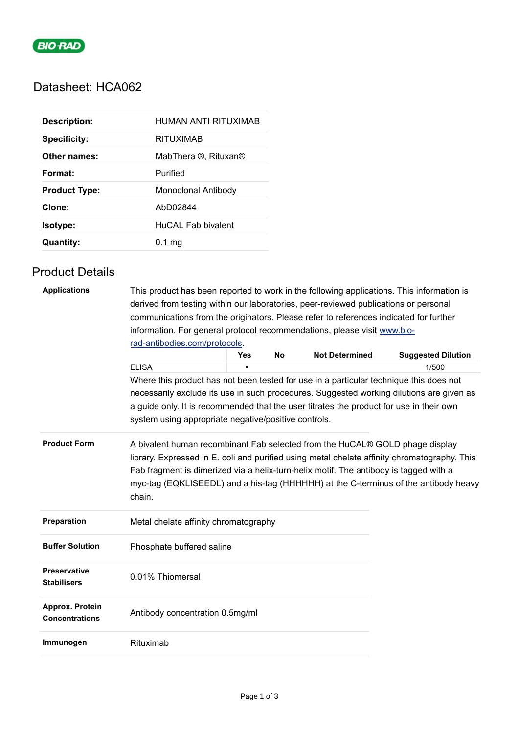

# Datasheet: HCA062

| <b>Description:</b>  | HUMAN ANTI RITUXIMAB |
|----------------------|----------------------|
| <b>Specificity:</b>  | RITUXIMAB            |
| Other names:         | MabThera ®, Rituxan® |
| Format:              | Purified             |
| <b>Product Type:</b> | Monoclonal Antibody  |
| Clone:               | AbD02844             |
| Isotype:             | HuCAL Fab bivalent   |
| <b>Quantity:</b>     | 0.1 <sub>ma</sub>    |

# Product Details

| <b>Applications</b>                      | This product has been reported to work in the following applications. This information is<br>derived from testing within our laboratories, peer-reviewed publications or personal<br>communications from the originators. Please refer to references indicated for further<br>information. For general protocol recommendations, please visit www.bio-                 |     |           |                       |                                                                                          |
|------------------------------------------|------------------------------------------------------------------------------------------------------------------------------------------------------------------------------------------------------------------------------------------------------------------------------------------------------------------------------------------------------------------------|-----|-----------|-----------------------|------------------------------------------------------------------------------------------|
|                                          | rad-antibodies.com/protocols.                                                                                                                                                                                                                                                                                                                                          |     |           |                       |                                                                                          |
|                                          |                                                                                                                                                                                                                                                                                                                                                                        | Yes | <b>No</b> | <b>Not Determined</b> | <b>Suggested Dilution</b>                                                                |
|                                          | <b>ELISA</b>                                                                                                                                                                                                                                                                                                                                                           |     |           |                       | 1/500                                                                                    |
|                                          | Where this product has not been tested for use in a particular technique this does not<br>a guide only. It is recommended that the user titrates the product for use in their own<br>system using appropriate negative/positive controls.                                                                                                                              |     |           |                       | necessarily exclude its use in such procedures. Suggested working dilutions are given as |
| <b>Product Form</b>                      | A bivalent human recombinant Fab selected from the HuCAL® GOLD phage display<br>library. Expressed in E. coli and purified using metal chelate affinity chromatography. This<br>Fab fragment is dimerized via a helix-turn-helix motif. The antibody is tagged with a<br>myc-tag (EQKLISEEDL) and a his-tag (HHHHHH) at the C-terminus of the antibody heavy<br>chain. |     |           |                       |                                                                                          |
| Preparation                              | Metal chelate affinity chromatography                                                                                                                                                                                                                                                                                                                                  |     |           |                       |                                                                                          |
| <b>Buffer Solution</b>                   | Phosphate buffered saline                                                                                                                                                                                                                                                                                                                                              |     |           |                       |                                                                                          |
| Preservative<br><b>Stabilisers</b>       | 0.01% Thiomersal                                                                                                                                                                                                                                                                                                                                                       |     |           |                       |                                                                                          |
| Approx. Protein<br><b>Concentrations</b> | Antibody concentration 0.5mg/ml                                                                                                                                                                                                                                                                                                                                        |     |           |                       |                                                                                          |
| Immunogen                                | Rituximab                                                                                                                                                                                                                                                                                                                                                              |     |           |                       |                                                                                          |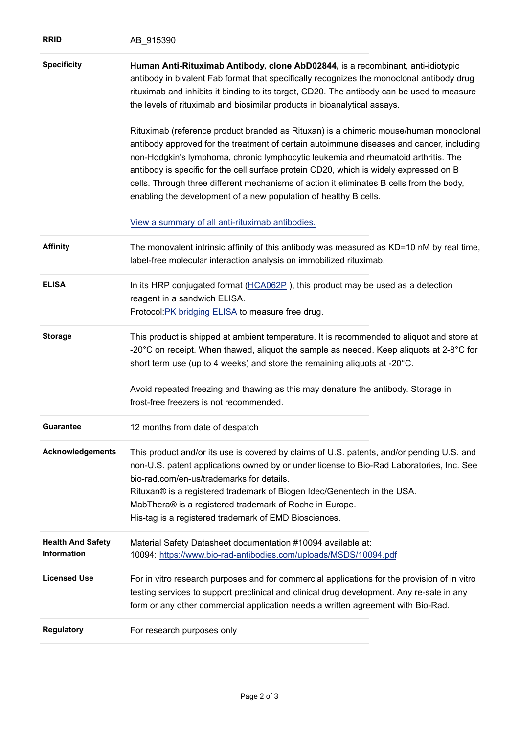| <b>RRID</b>                             | AB 915390                                                                                                                                                                                                                                                                                                                                                                                                                                                                                                                         |
|-----------------------------------------|-----------------------------------------------------------------------------------------------------------------------------------------------------------------------------------------------------------------------------------------------------------------------------------------------------------------------------------------------------------------------------------------------------------------------------------------------------------------------------------------------------------------------------------|
| <b>Specificity</b>                      | Human Anti-Rituximab Antibody, clone AbD02844, is a recombinant, anti-idiotypic<br>antibody in bivalent Fab format that specifically recognizes the monoclonal antibody drug<br>rituximab and inhibits it binding to its target, CD20. The antibody can be used to measure<br>the levels of rituximab and biosimilar products in bioanalytical assays.                                                                                                                                                                            |
|                                         | Rituximab (reference product branded as Rituxan) is a chimeric mouse/human monoclonal<br>antibody approved for the treatment of certain autoimmune diseases and cancer, including<br>non-Hodgkin's lymphoma, chronic lymphocytic leukemia and rheumatoid arthritis. The<br>antibody is specific for the cell surface protein CD20, which is widely expressed on B<br>cells. Through three different mechanisms of action it eliminates B cells from the body,<br>enabling the development of a new population of healthy B cells. |
|                                         | View a summary of all anti-rituximab antibodies.                                                                                                                                                                                                                                                                                                                                                                                                                                                                                  |
| <b>Affinity</b>                         | The monovalent intrinsic affinity of this antibody was measured as KD=10 nM by real time,<br>label-free molecular interaction analysis on immobilized rituximab.                                                                                                                                                                                                                                                                                                                                                                  |
| <b>ELISA</b>                            | In its HRP conjugated format $(HCA062P)$ , this product may be used as a detection<br>reagent in a sandwich ELISA.<br>Protocol: PK bridging ELISA to measure free drug.                                                                                                                                                                                                                                                                                                                                                           |
| <b>Storage</b>                          | This product is shipped at ambient temperature. It is recommended to aliquot and store at<br>-20 $^{\circ}$ C on receipt. When thawed, aliquot the sample as needed. Keep aliquots at 2-8 $^{\circ}$ C for<br>short term use (up to 4 weeks) and store the remaining aliquots at -20°C.                                                                                                                                                                                                                                           |
|                                         | Avoid repeated freezing and thawing as this may denature the antibody. Storage in<br>frost-free freezers is not recommended.                                                                                                                                                                                                                                                                                                                                                                                                      |
| <b>Guarantee</b>                        | 12 months from date of despatch                                                                                                                                                                                                                                                                                                                                                                                                                                                                                                   |
| Acknowledgements                        | This product and/or its use is covered by claims of U.S. patents, and/or pending U.S. and<br>non-U.S. patent applications owned by or under license to Bio-Rad Laboratories, Inc. See<br>bio-rad.com/en-us/trademarks for details.<br>Rituxan® is a registered trademark of Biogen Idec/Genentech in the USA.<br>MabThera® is a registered trademark of Roche in Europe.<br>His-tag is a registered trademark of EMD Biosciences.                                                                                                 |
| <b>Health And Safety</b><br>Information | Material Safety Datasheet documentation #10094 available at:<br>10094: https://www.bio-rad-antibodies.com/uploads/MSDS/10094.pdf                                                                                                                                                                                                                                                                                                                                                                                                  |
| <b>Licensed Use</b>                     | For in vitro research purposes and for commercial applications for the provision of in vitro<br>testing services to support preclinical and clinical drug development. Any re-sale in any<br>form or any other commercial application needs a written agreement with Bio-Rad.                                                                                                                                                                                                                                                     |
| <b>Regulatory</b>                       | For research purposes only                                                                                                                                                                                                                                                                                                                                                                                                                                                                                                        |